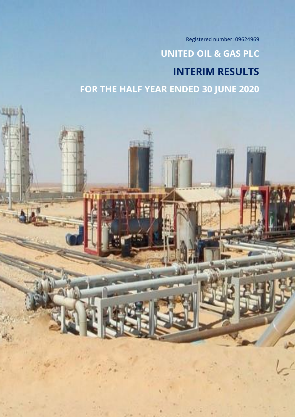Registered number: 09624969

# **UNITED OIL & GAS PLC INTERIM RESULTS FOR THE HALF YEAR ENDED 30 JUNE 2020**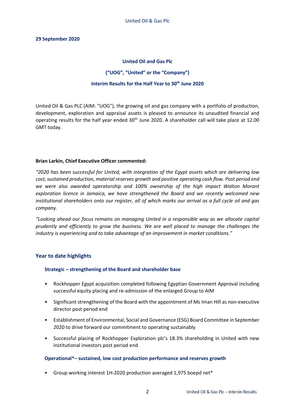### **29 September 2020**

### **United Oil and Gas Plc**

### **("UOG", "United" or the "Company")**

### **Interim Results for the Half Year to 30th June 2020**

United Oil & Gas PLC (AIM: "UOG"), the growing oil and gas company with a portfolio of production, development, exploration and appraisal assets is pleased to announce its unaudited financial and operating results for the half year ended 30<sup>th</sup> June 2020. A shareholder call will take place at 12.00 GMT today.

### **Brian Larkin, Chief Executive Officer commented:**

*"2020 has been successful for United, with integration of the Egypt assets which are delivering low cost, sustained production, material reserves growth and positive operating cash flow. Post period end we were also awarded operatorship and 100% ownership of the high impact Walton Morant exploration licence in Jamaica, we have strengthened the Board and we recently welcomed new institutional shareholders onto our register, all of which marks our arrival as a full cycle oil and gas company.*

*"Looking ahead our focus remains on managing United in a responsible way as we allocate capital prudently and efficiently to grow the business. We are well placed to manage the challenges the industry is experiencing and to take advantage of an improvement in market conditions."*

# **Year to date highlights**

### **Strategic – strengthening of the Board and shareholder base**

- Rockhopper Egypt acquisition completed following Egyptian Government Approval including successful equity placing and re-admission of the enlarged Group to AIM
- Significant strengthening of the Board with the appointment of Ms Iman Hill as non-executive director post period end
- Establishment of Environmental, Social and Governance (ESG) Board Committee in September 2020 to drive forward our commitment to operating sustainably
- Successful placing of Rockhopper Exploration plc's 18.3% shareholding in United with new institutional investors post period end

### **Operational\*– sustained, low cost production performance and reserves growth**

• Group working interest 1H-2020 production averaged 1,975 boepd net\*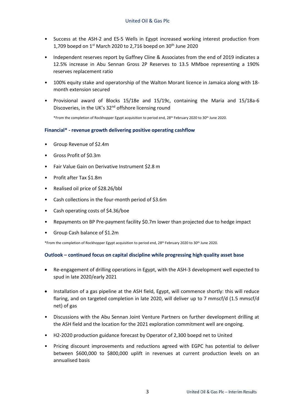- Success at the ASH-2 and ES-5 Wells in Egypt increased working interest production from 1,709 boepd on  $1<sup>st</sup>$  March 2020 to 2,716 boepd on 30<sup>th</sup> June 2020
- Independent reserves report by Gaffney Cline & Associates from the end of 2019 indicates a 12.5% increase in Abu Sennan Gross 2P Reserves to 13.5 MMboe representing a 190% reserves replacement ratio
- 100% equity stake and operatorship of the Walton Morant licence in Jamaica along with 18 month extension secured
- Provisional award of Blocks 15/18e and 15/19c, containing the Maria and 15/18a-6 Discoveries, in the UK's 32<sup>nd</sup> offshore licensing round

\*From the completion of Rockhopper Egypt acquisition to period end, 28th February 2020 to 30th June 2020.

### **Financial\* - revenue growth delivering positive operating cashflow**

- Group Revenue of \$2.4m
- Gross Profit of \$0.3m
- Fair Value Gain on Derivative Instrument \$2.8 m
- Profit after Tax \$1.8m
- Realised oil price of \$28.26/bbl
- Cash collections in the four-month period of \$3.6m
- Cash operating costs of \$4.36/boe
- Repayments on BP Pre-payment facility \$0.7m lower than projected due to hedge impact
- Group Cash balance of \$1.2m

\*From the completion of Rockhopper Egypt acquisition to period end, 28th February 2020 to 30th June 2020.

### **Outlook – continued focus on capital discipline while progressing high quality asset base**

- Re-engagement of drilling operations in Egypt, with the ASH-3 development well expected to spud in late 2020/early 2021
- Installation of a gas pipeline at the ASH field, Egypt, will commence shortly: this will reduce flaring, and on targeted completion in late 2020, will deliver up to 7 mmscf/d (1.5 mmscf/d net) of gas
- Discussions with the Abu Sennan Joint Venture Partners on further development drilling at the ASH field and the location for the 2021 exploration commitment well are ongoing.
- H2-2020 production guidance forecast by Operator of 2,300 boepd net to United
- Pricing discount improvements and reductions agreed with EGPC has potential to deliver between \$600,000 to \$800,000 uplift in revenues at current production levels on an annualised basis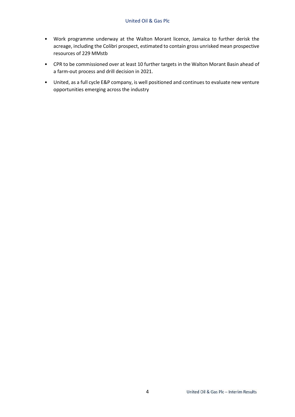- Work programme underway at the Walton Morant licence, Jamaica to further derisk the acreage, including the Colibri prospect, estimated to contain gross unrisked mean prospective resources of 229 MMstb
- CPR to be commissioned over at least 10 further targets in the Walton Morant Basin ahead of a farm-out process and drill decision in 2021.
- United, as a full cycle E&P company, is well positioned and continues to evaluate new venture opportunities emerging across the industry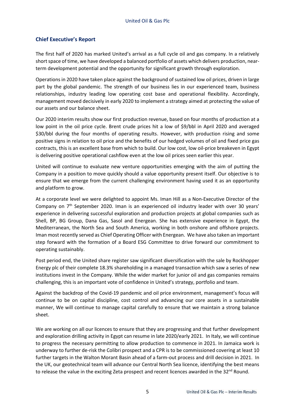# **Chief Executive's Report**

The first half of 2020 has marked United's arrival as a full cycle oil and gas company. In a relatively short space of time, we have developed a balanced portfolio of assets which delivers production, nearterm development potential and the opportunity for significant growth through exploration.

Operations in 2020 have taken place against the background of sustained low oil prices, driven in large part by the global pandemic. The strength of our business lies in our experienced team, business relationships, industry leading low operating cost base and operational flexibility. Accordingly, management moved decisively in early 2020 to implement a strategy aimed at protecting the value of our assets and our balance sheet.

Our 2020 interim results show our first production revenue, based on four months of production at a low point in the oil price cycle. Brent crude prices hit a low of \$9/bbl in April 2020 and averaged \$30/bbl during the four months of operating results. However, with production rising and some positive signs in relation to oil price and the benefits of our hedged volumes of oil and fixed price gas contracts, this is an excellent base from which to build. Our low cost, low oil-price breakeven in Egypt is delivering positive operational cashflow even at the low oil prices seen earlier this year.

United will continue to evaluate new venture opportunities emerging with the aim of putting the Company in a position to move quickly should a value opportunity present itself. Our objective is to ensure that we emerge from the current challenging environment having used it as an opportunity and platform to grow.

At a corporate level we were delighted to appoint Ms. Iman Hill as a Non-Executive Director of the Company on 7<sup>th</sup> September 2020. Iman is an experienced oil industry leader with over 30 years' experience in delivering successful exploration and production projects at global companies such as Shell, BP, BG Group, Dana Gas, Sasol and Energean. She has extensive experience in Egypt, the Mediterranean, the North Sea and South America, working in both onshore and offshore projects. Iman most recently served as Chief Operating Officer with Energean. We have also taken an important step forward with the formation of a Board ESG Committee to drive forward our commitment to operating sustainably.

Post period end, the United share register saw significant diversification with the sale by Rockhopper Energy plc of their complete 18.3% shareholding in a managed transaction which saw a series of new institutions invest in the Company. While the wider market for junior oil and gas companies remains challenging, this is an important vote of confidence in United's strategy, portfolio and team.

Against the backdrop of the Covid-19 pandemic and oil price environment, management's focus will continue to be on capital discipline, cost control and advancing our core assets in a sustainable manner, We will continue to manage capital carefully to ensure that we maintain a strong balance sheet.

We are working on all our licences to ensure that they are progressing and that further development and exploration drilling activity in Egypt can resume in late 2020/early 2021. In Italy, we will continue to progress the necessary permitting to allow production to commence in 2021. In Jamaica work is underway to further de-risk the Colibri prospect and a CPR is to be commissioned covering at least 10 further targets in the Walton Morant Basin ahead of a farm-out process and drill decision in 2021. In the UK, our geotechnical team will advance our Central North Sea licence, identifying the best means to release the value in the exciting Zeta prospect and recent licences awarded in the 32<sup>nd</sup> Round.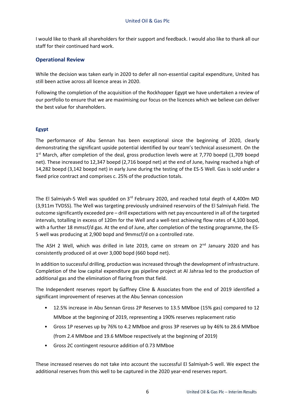I would like to thank all shareholders for their support and feedback. I would also like to thank all our staff for their continued hard work.

# **Operational Review**

While the decision was taken early in 2020 to defer all non-essential capital expenditure, United has still been active across all licence areas in 2020.

Following the completion of the acquisition of the Rockhopper Egypt we have undertaken a review of our portfolio to ensure that we are maximising our focus on the licences which we believe can deliver the best value for shareholders.

# **Egypt**

The performance of Abu Sennan has been exceptional since the beginning of 2020, clearly demonstrating the significant upside potential identified by our team's technical assessment. On the 1<sup>st</sup> March, after completion of the deal, gross production levels were at 7,770 boepd (1,709 boepd net). These increased to 12,347 boepd (2,716 boepd net) at the end of June, having reached a high of 14,282 boepd (3,142 boepd net) in early June during the testing of the ES-5 Well. Gas is sold under a fixed price contract and comprises c. 25% of the production totals.

The El Salmiyah-5 Well was spudded on 3<sup>rd</sup> February 2020, and reached total depth of 4,400m MD (3,911m TVDSS). The Well was targeting previously undrained reservoirs of the El Salmiyah Field. The outcome significantly exceeded pre – drill expectations with net pay encountered in all of the targeted intervals, totalling in excess of 120m for the Well and a well-test achieving flow rates of 4,100 bopd, with a further 18 mmscf/d gas. At the end of June, after completion of the testing programme, the ES-5 well was producing at 2,900 bopd and 9mmscf/d on a controlled rate.

The ASH 2 Well, which was drilled in late 2019, came on stream on  $2<sup>nd</sup>$  January 2020 and has consistently produced oil at over 3,000 bopd (660 bopd net).

In addition to successful drilling, production was increased through the development of infrastructure. Completion of the low capital expenditure gas pipeline project at Al Jahraa led to the production of additional gas and the elimination of flaring from that field.

The Independent reserves report by Gaffney Cline & Associates from the end of 2019 identified a significant improvement of reserves at the Abu Sennan concession

- 12.5% increase in Abu Sennan Gross 2P Reserves to 13.5 MMboe (15% gas) compared to 12 MMboe at the beginning of 2019, representing a 190% reserves replacement ratio
- Gross 1P reserves up by 76% to 4.2 MMboe and gross 3P reserves up by 46% to 28.6 MMboe (from 2.4 MMboe and 19.6 MMboe respectively at the beginning of 2019)
- Gross 2C contingent resource addition of 0.73 MMboe

These increased reserves do not take into account the successful El Salmiyah-5 well. We expect the additional reserves from this well to be captured in the 2020 year-end reserves report.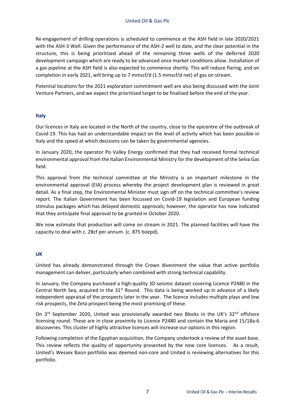Re-engagement of drilling operations is scheduled to commence at the ASH field in late 2020/2021 with the ASH-3 Well. Given the performance of the ASH-2 well to date, and the clear potential in the structure, this is being prioritised ahead of the remaining three wells of the deferred 2020 development campaign which are ready to be advanced once market conditions allow. Installation of a gas pipeline at the ASH field is also expected to commence shortly. This will reduce flaring, and on completion in early 2021, will bring up to 7 mmscf/d (1.5 mmscf/d net) of gas on stream.

Potential locations for the 2021 exploration commitment well are also being discussed with the Joint Venture Partners, and we expect the prioritised target to be finalised before the end of the year.

### **Italy**

Our licences in Italy are located in the North of the country, close to the epicentre of the outbreak of Covid-19. This has had an understandable impact on the level of activity which has been possible in Italy and the speed at which decisions can be taken by governmental agencies.

In January 2020, the operator Po Valley Energy confirmed that they had received formal technical environmental approval from the Italian Environmental Ministry for the development of the Selva Gas field.

This approval from the technical committee at the Ministry is an important milestone in the environmental approval (EIA) process whereby the project development plan is reviewed in great detail. As a final step, the Environmental Minister must sign off on the technical committee's review report. The Italian Government has been focussed on Covid-19 legislation and European funding stimulus packages which has delayed domestic approvals; however, the operator has now indicated that they anticipate final approval to be granted in October 2020.

We now estimate that production will come on stream in 2021. The planned facilities will have the capacity to deal with c. 2Bcf per annum. (c. 875 boepd).

### **UK**

United has already demonstrated through the Crown divestment the value that active portfolio management can deliver, particularly when combined with strong technical capability.

In January, the Company purchased a high-quality 3D seismic dataset covering Licence P2480 in the Central North Sea, acquired in the  $31<sup>st</sup>$  Round. This data is being worked up in advance of a likely independent appraisal of the prospects later in the year. The licence includes multiple plays and low risk prospects, the Zeta prospect being the most promising of these.

On 3<sup>rd</sup> September 2020, United was provisionally awarded two Blocks in the UK's 32<sup>nd</sup> offshore licensing round. These are in close proximity to Licence P2480 and contain the Maria and 15/18a-6 discoveries. This cluster of highly attractive licences will increase our options in this region.

Following completion of the Egyptian acquisition, the Company undertook a review of the asset base. This review reflects the quality of opportunity presented by the now core licences. As a result, United's Wessex Basin portfolio was deemed non-core and United is reviewing alternatives for this portfolio.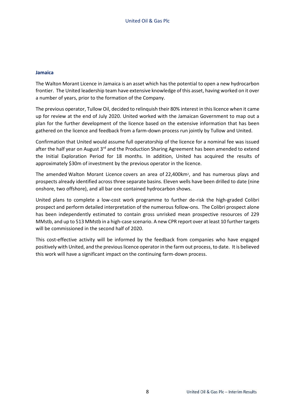### **Jamaica**

The Walton Morant Licence in Jamaica is an asset which has the potential to open a new hydrocarbon frontier. The United leadership team have extensive knowledge of this asset, having worked on it over a number of years, prior to the formation of the Company.

The previous operator, Tullow Oil, decided to relinquish their 80% interest in this licence when it came up for review at the end of July 2020. United worked with the Jamaican Government to map out a plan for the further development of the licence based on the extensive information that has been gathered on the licence and feedback from a farm-down process run jointly by Tullow and United.

Confirmation that United would assume full operatorship of the licence for a nominal fee was issued after the half year on August 3<sup>rd</sup> and the Production Sharing Agreement has been amended to extend the Initial Exploration Period for 18 months. In addition, United has acquired the results of approximately \$30m of investment by the previous operator in the licence.

The amended Walton Morant Licence covers an area of 22,400km<sup>2</sup> , and has numerous plays and prospects already identified across three separate basins. Eleven wells have been drilled to date (nine onshore, two offshore), and all bar one contained hydrocarbon shows.

United plans to complete a low-cost work programme to further de-risk the high-graded Colibri prospect and perform detailed interpretation of the numerous follow-ons. The Colibri prospect alone has been independently estimated to contain gross unrisked mean prospective resources of 229 MMstb, and up to 513 MMstb in a high-case scenario. A new CPR report over at least 10 further targets will be commissioned in the second half of 2020.

This cost-effective activity will be informed by the feedback from companies who have engaged positively with United, and the previous licence operator in the farm out process, to date. It is believed this work will have a significant impact on the continuing farm-down process.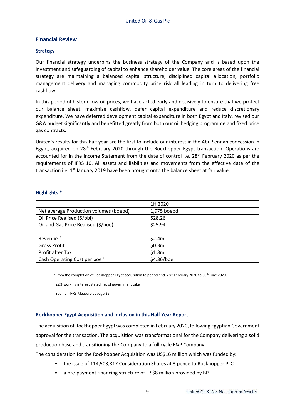# **Financial Review**

### **Strategy**

Our financial strategy underpins the business strategy of the Company and is based upon the investment and safeguarding of capital to enhance shareholder value. The core areas of the financial strategy are maintaining a balanced capital structure, disciplined capital allocation, portfolio management delivery and managing commodity price risk all leading in turn to delivering free cashflow.

In this period of historic low oil prices, we have acted early and decisively to ensure that we protect our balance sheet, maximise cashflow, defer capital expenditure and reduce discretionary expenditure. We have deferred development capital expenditure in both Egypt and Italy, revised our G&A budget significantly and benefitted greatly from both our oil hedging programme and fixed price gas contracts.

United's results for this half year are the first to include our interest in the Abu Sennan concession in Egypt, acquired on 28<sup>th</sup> February 2020 through the Rockhopper Egypt transaction. Operations are accounted for in the Income Statement from the date of control i.e. 28<sup>th</sup> February 2020 as per the requirements of IFRS 10. All assets and liabilities and movements from the effective date of the transaction i.e. 1<sup>st</sup> January 2019 have been brought onto the balance sheet at fair value.

|                                          | 1H 2020     |
|------------------------------------------|-------------|
| Net average Production volumes (boepd)   | 1,975 boepd |
| Oil Price Realised (\$/bbl)              | \$28.26     |
| Oil and Gas Price Realised (\$/boe)      | \$25.94     |
|                                          |             |
| Revenue <sup>1</sup>                     | \$2.4m      |
| <b>Gross Profit</b>                      | \$0.3m      |
| Profit after Tax                         | \$1.8m      |
| Cash Operating Cost per boe <sup>2</sup> | \$4.36/boe  |

### **Highlights \***

\*From the completion of Rockhopper Egypt acquisition to period end, 28th February 2020 to 30th June 2020.

<sup>1</sup> 22% working interest stated net of government take

<sup>2</sup> See non-IFRS Measure at page 26

# **Rockhopper Egypt Acquisition and inclusion in this Half Year Report**

The acquisition of Rockhopper Egypt was completed in February 2020, following Egyptian Government approval for the transaction. The acquisition was transformational for the Company delivering a solid production base and transitioning the Company to a full cycle E&P Company.

The consideration for the Rockhopper Acquisition was US\$16 million which was funded by:

- the issue of 114,503,817 Consideration Shares at 3 pence to Rockhopper PLC
- a pre-payment financing structure of US\$8 million provided by BP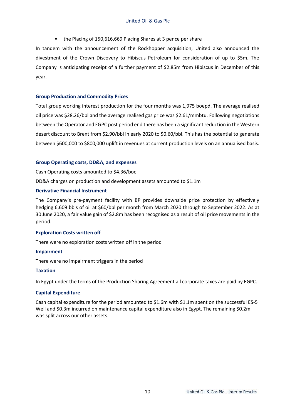• the Placing of 150,616,669 Placing Shares at 3 pence per share

In tandem with the announcement of the Rockhopper acquisition, United also announced the divestment of the Crown Discovery to Hibiscus Petroleum for consideration of up to \$5m. The Company is anticipating receipt of a further payment of \$2.85m from Hibiscus in December of this year.

### **Group Production and Commodity Prices**

Total group working interest production for the four months was 1,975 boepd. The average realised oil price was \$28.26/bbl and the average realised gas price was \$2.61/mmbtu. Following negotiations between the Operator and EGPC post period end there has been a significant reduction in the Western desert discount to Brent from \$2.90/bbl in early 2020 to \$0.60/bbl. This has the potential to generate between \$600,000 to \$800,000 uplift in revenues at current production levels on an annualised basis.

### **Group Operating costs, DD&A, and expenses**

Cash Operating costs amounted to \$4.36/boe

DD&A charges on production and development assets amounted to \$1.1m

### **Derivative Financial Instrument**

The Company's pre-payment facility with BP provides downside price protection by effectively hedging 6,609 bbls of oil at \$60/bbl per month from March 2020 through to September 2022. As at 30 June 2020, a fair value gain of \$2.8m has been recognised as a result of oil price movements in the period.

### **Exploration Costs written off**

There were no exploration costs written off in the period

### **Impairment**

There were no impairment triggers in the period

### **Taxation**

In Egypt under the terms of the Production Sharing Agreement all corporate taxes are paid by EGPC.

### **Capital Expenditure**

Cash capital expenditure for the period amounted to \$1.6m with \$1.1m spent on the successful ES-5 Well and \$0.3m incurred on maintenance capital expenditure also in Egypt. The remaining \$0.2m was split across our other assets.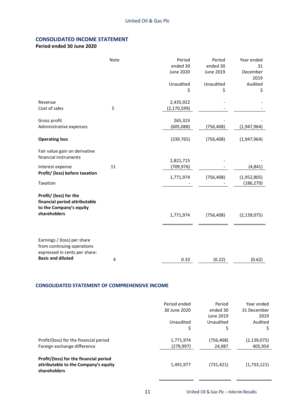# **CONSOLIDATED INCOME STATEMENT**

# **Period ended 30 June 2020**

|                                                                                            | Note | Period<br>ended 30<br>June 2020<br>Unaudited<br>\$ | Period<br>ended 30<br>June 2019<br>Unaudited<br>\$ | Year ended<br>31<br>December<br>2019<br>Audited<br>\$ |
|--------------------------------------------------------------------------------------------|------|----------------------------------------------------|----------------------------------------------------|-------------------------------------------------------|
| Revenue<br>Cost of sales                                                                   | 5    | 2,435,922<br>(2,170,599)                           |                                                    |                                                       |
| Gross profit<br>Administrative expenses                                                    |      | 265,323<br>(605,088)                               | (756, 408)                                         | (1,947,964)                                           |
| <b>Operating loss</b>                                                                      |      | (339, 765)                                         | (756, 408)                                         | (1,947,964)                                           |
| Fair value gain on derivative<br>financial instruments                                     |      | 2,821,715                                          |                                                    |                                                       |
| Interest expense                                                                           | 11   | (709, 976)                                         |                                                    | (4, 841)                                              |
| Profit/ (loss) before taxation<br>Taxation                                                 |      | 1,771,974                                          | (756, 408)                                         | (1,952,805)<br>(186, 270)                             |
| Profit/ (loss) for the<br>financial period attributable<br>to the Company's equity         |      |                                                    |                                                    |                                                       |
| shareholders                                                                               |      | 1,771,974                                          | (756, 408)                                         | (2, 139, 075)                                         |
| Earnings / (loss) per share<br>from continuing operations<br>expressed in cents per share: |      |                                                    |                                                    |                                                       |
| <b>Basic and diluted</b>                                                                   | 4    | 0.33                                               | (0.22)                                             | (0.62)                                                |

### **CONSOLIDATED STATEMENT OF COMPREHENSIVE INCOME**

|                                                                                                | Period ended<br>30 June 2020<br>Unaudited<br>\$ | Period<br>ended 30<br>June 2019<br>Unaudited<br>\$ | Year ended<br>31 December<br>2019<br>Audited<br>\$ |
|------------------------------------------------------------------------------------------------|-------------------------------------------------|----------------------------------------------------|----------------------------------------------------|
| Profit/(loss) for the financial period<br>Foreign exchange difference                          | 1,771,974<br>(279, 997)                         | (756,408)<br>24,987                                | (2, 139, 075)<br>405,954                           |
| Profit/(loss) for the financial period<br>attributable to the Company's equity<br>shareholders | 1,491,977                                       | (731, 421)                                         | (1,733,121)                                        |

United Oil & Gas Plc - Interim Results

 $\ddot{\phantom{1}}$ 

 $\mathbf{r}$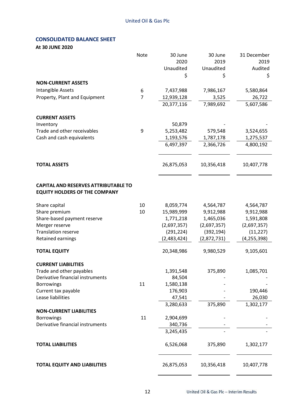# **CONSOLIDATED BALANCE SHEET**

**At 30 JUNE 2020**

|                                             | Note           | 30 June     | 30 June     | 31 December   |
|---------------------------------------------|----------------|-------------|-------------|---------------|
|                                             |                | 2020        | 2019        | 2019          |
|                                             |                | Unaudited   | Unaudited   | Audited       |
|                                             |                | \$          | \$          | \$            |
| <b>NON-CURRENT ASSETS</b>                   |                |             |             |               |
| Intangible Assets                           | 6              | 7,437,988   | 7,986,167   | 5,580,864     |
| Property, Plant and Equipment               | $\overline{7}$ | 12,939,128  | 3,525       | 26,722        |
|                                             |                | 20,377,116  | 7,989,692   | 5,607,586     |
|                                             |                |             |             |               |
| <b>CURRENT ASSETS</b>                       |                |             |             |               |
| Inventory                                   |                | 50,879      |             |               |
| Trade and other receivables                 | 9              | 5,253,482   | 579,548     | 3,524,655     |
| Cash and cash equivalents                   |                | 1,193,576   | 1,787,178   | 1,275,537     |
|                                             |                | 6,497,397   | 2,366,726   | 4,800,192     |
| <b>TOTAL ASSETS</b>                         |                | 26,875,053  | 10,356,418  | 10,407,778    |
|                                             |                |             |             |               |
| <b>CAPITAL AND RESERVES ATTRIBUTABLE TO</b> |                |             |             |               |
| <b>EQUITY HOLDERS OF THE COMPANY</b>        |                |             |             |               |
| Share capital                               | 10             | 8,059,774   | 4,564,787   | 4,564,787     |
| Share premium                               | 10             | 15,989,999  | 9,912,988   | 9,912,988     |
| Share-based payment reserve                 |                | 1,771,218   | 1,465,036   | 1,591,808     |
| Merger reserve                              |                | (2,697,357) | (2,697,357) | (2,697,357)   |
| <b>Translation reserve</b>                  |                | (291, 224)  | (392, 194)  | (11, 227)     |
| Retained earnings                           |                | (2,483,424) | (2,872,731) | (4, 255, 398) |
| <b>TOTAL EQUITY</b>                         |                | 20,348,986  | 9,980,529   | 9,105,601     |
| <b>CURRENT LIABILITIES</b>                  |                |             |             |               |
| Trade and other payables                    |                | 1,391,548   | 375,890     | 1,085,701     |
| Derivative financial instruments            |                | 84,504      |             |               |
| <b>Borrowings</b>                           | 11             | 1,580,138   |             |               |
| Current tax payable                         |                | 176,903     |             | 190,446       |
| Lease liabilities                           |                | 47,541      |             | 26,030        |
|                                             |                | 3,280,633   | 375,890     | 1,302,177     |
| <b>NON-CURRENT LIABILITIES</b>              |                |             |             |               |
| <b>Borrowings</b>                           | 11             | 2,904,699   |             |               |
| Derivative financial instruments            |                | 340,736     |             |               |
|                                             |                | 3,245,435   |             |               |
| <b>TOTAL LIABILITIES</b>                    |                | 6,526,068   | 375,890     | 1,302,177     |
| <b>TOTAL EQUITY AND LIABILITIES</b>         |                | 26,875,053  | 10,356,418  | 10,407,778    |
|                                             |                |             |             |               |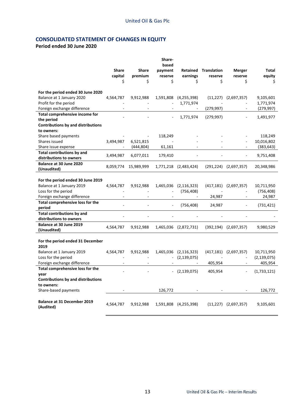# **CONSOLIDATED STATEMENT OF CHANGES IN EQUITY**

# **Period ended 30 June 2020**

|                                                  |              |              | Share-                   |                             |                                 |                              |                         |
|--------------------------------------------------|--------------|--------------|--------------------------|-----------------------------|---------------------------------|------------------------------|-------------------------|
|                                                  | <b>Share</b> | <b>Share</b> | based                    |                             |                                 |                              |                         |
|                                                  | capital      | premium      | payment<br>reserve       | earnings                    | Retained Translation<br>reserve | Merger<br>reserve            | Total<br>equity         |
|                                                  | Ś            | Ś            | Ś                        | Ś                           | Ś                               | Ś                            | Ś.                      |
|                                                  |              |              |                          |                             |                                 |                              |                         |
| For the period ended 30 June 2020                |              |              |                          |                             |                                 |                              |                         |
| Balance at 1 January 2020                        | 4,564,787    | 9,912,988    | 1,591,808                | (4, 255, 398)               |                                 | $(11,227)$ $(2,697,357)$     | 9,105,601               |
| Profit for the period                            |              |              |                          | 1,771,974                   |                                 |                              | 1,771,974               |
| Foreign exchange difference                      |              |              |                          |                             | (279, 997)                      |                              | (279, 997)              |
| Total comprehensive income for                   |              |              |                          | 1,771,974                   | (279, 997)                      |                              | 1,491,977               |
| the period                                       |              |              |                          |                             |                                 |                              |                         |
| <b>Contributions by and distributions</b>        |              |              |                          |                             |                                 |                              |                         |
| to owners:                                       |              |              |                          |                             |                                 |                              |                         |
| Share based payments                             |              |              | 118,249                  |                             |                                 |                              | 118,249                 |
| Shares issued                                    | 3,494,987    | 6,521,815    |                          |                             |                                 |                              | 10,016,802              |
| Share issue expense                              |              | (444, 804)   | 61,161                   |                             |                                 |                              | (383,643)               |
| <b>Total contributions by and</b>                | 3,494,987    | 6,077,011    | 179,410                  |                             |                                 |                              | 9,751,408               |
| distributions to owners                          |              |              |                          |                             |                                 |                              |                         |
| Balance at 30 June 2020                          | 8,059,774    | 15,989,999   |                          | 1,771,218 (2,483,424)       |                                 | $(291, 224)$ $(2, 697, 357)$ | 20,348,986              |
| (Unaudited)                                      |              |              |                          |                             |                                 |                              |                         |
|                                                  |              |              |                          |                             |                                 |                              |                         |
| For the period ended 30 June 2019                |              |              |                          |                             |                                 |                              |                         |
| Balance at 1 January 2019<br>Loss for the period | 4,564,787    | 9,912,988    | 1,465,036                | (2, 116, 323)<br>(756, 408) |                                 | $(417, 181)$ $(2, 697, 357)$ | 10,711,950<br>(756,408) |
| Foreign exchange difference                      |              |              | $\overline{\phantom{a}}$ | $\sim$                      | 24,987                          | $\blacksquare$               | 24,987                  |
| Total comprehensive loss for the                 |              |              |                          |                             |                                 |                              |                         |
| period                                           |              |              |                          | (756, 408)                  | 24,987                          |                              | (731, 421)              |
| <b>Total contributions by and</b>                |              |              |                          |                             |                                 |                              |                         |
| distributions to owners                          |              |              |                          |                             |                                 |                              |                         |
| Balance at 30 June 2019                          |              |              |                          |                             |                                 |                              |                         |
| (Unaudited)                                      | 4,564,787    | 9,912,988    |                          | 1,465,036 (2,872,731)       | (392, 194)                      | (2,697,357)                  | 9,980,529               |
|                                                  |              |              |                          |                             |                                 |                              |                         |
| For the period ended 31 December                 |              |              |                          |                             |                                 |                              |                         |
| 2019                                             |              |              |                          |                             |                                 |                              |                         |
| Balance at 1 January 2019                        | 4,564,787    | 9,912,988    | 1,465,036                | (2, 116, 323)               | (417, 181)                      | (2,697,357)                  | 10,711,950              |
| Loss for the period                              |              |              |                          | (2, 139, 075)               |                                 |                              | (2, 139, 075)           |
| Foreign exchange difference                      |              |              |                          |                             | 405,954                         |                              | 405,954                 |
| Total comprehensive loss for the                 |              |              |                          | (2, 139, 075)               | 405,954                         |                              | (1,733,121)             |
| year                                             |              |              |                          |                             |                                 |                              |                         |
| <b>Contributions by and distributions</b>        |              |              |                          |                             |                                 |                              |                         |
| to owners:                                       |              |              |                          |                             |                                 |                              |                         |
| Share-based payments                             |              |              | 126,772                  |                             |                                 |                              | 126,772                 |
|                                                  |              |              |                          |                             |                                 |                              |                         |
| <b>Balance at 31 December 2019</b>               | 4,564,787    | 9,912,988    |                          | 1,591,808 (4,255,398)       | (11, 227)                       | (2,697,357)                  | 9,105,601               |
| (Audited)                                        |              |              |                          |                             |                                 |                              |                         |
|                                                  |              |              |                          |                             |                                 |                              |                         |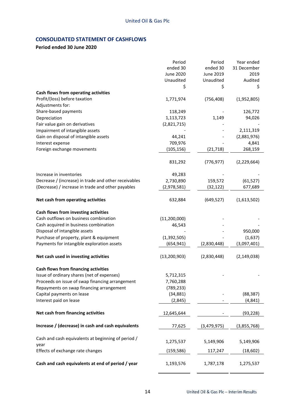# **CONSOLIDATED STATEMENT OF CASHFLOWS**

# **Period ended 30 June 2020**

|                                                      | Period         | Period      | Year ended    |
|------------------------------------------------------|----------------|-------------|---------------|
|                                                      | ended 30       | ended 30    | 31 December   |
|                                                      | June 2020      | June 2019   | 2019          |
|                                                      | Unaudited      | Unaudited   | Audited       |
|                                                      | \$             | \$          | \$            |
| Cash flows from operating activities                 |                |             |               |
| Profit/(loss) before taxation                        | 1,771,974      | (756, 408)  | (1,952,805)   |
| Adjustments for:                                     |                |             |               |
| Share-based payments                                 | 118,249        |             | 126,772       |
| Depreciation                                         | 1,113,723      | 1,149       | 94,026        |
| Fair value gain on derivatives                       | (2,821,715)    |             |               |
| Impairment of intangible assets                      |                |             | 2,111,319     |
| Gain on disposal of intangible assets                | 44,241         |             | (2,881,976)   |
| Interest expense                                     | 709,976        |             | 4,841         |
| Foreign exchange movements                           | (105, 156)     | (21, 718)   | 268,159       |
|                                                      | 831,292        | (776, 977)  | (2, 229, 664) |
| Increase in inventories                              | 49,283         |             |               |
| Decrease / (increase) in trade and other receivables | 2,730,890      | 159,572     | (61, 527)     |
| (Decrease) / increase in trade and other payables    | (2,978,581)    | (32, 122)   | 677,689       |
| Net cash from operating activities                   | 632,884        | (649, 527)  | (1,613,502)   |
| Cash flows from investing activities                 |                |             |               |
| Cash outflows on business combination                | (11, 200, 000) |             |               |
| Cash acquired in business combination                | 46,543         |             |               |
| Disposal of intangible assets                        |                |             | 950,000       |
| Purchase of property, plant & equipment              | (1, 392, 505)  |             | (1,637)       |
| Payments for intangible exploration assets           | (654, 941)     | (2,830,448) | (3,097,401)   |
| Net cash used in investing activities                | (13, 200, 903) | (2,830,448) | (2, 149, 038) |
| <b>Cash flows from financing activities</b>          |                |             |               |
| Issue of ordinary shares (net of expenses)           | 5,712,315      |             |               |
| Proceeds on issue of swap financing arrangement      | 7,760,288      |             |               |
| Repayments on swap financing arrangement             | (789, 233)     |             |               |
| Capital payments on lease                            | (34, 881)      |             | (88, 387)     |
| Interest paid on lease                               | (2,845)        |             | (4, 841)      |
| Net cash from financing activities                   | 12,645,644     |             | (93, 228)     |
| Increase / (decrease) in cash and cash equivalents   | 77,625         | (3,479,975) | (3,855,768)   |
| Cash and cash equivalents at beginning of period /   |                |             |               |
| year                                                 | 1,275,537      | 5,149,906   | 5,149,906     |
| Effects of exchange rate changes                     | (159, 586)     | 117,247     | (18, 602)     |
| Cash and cash equivalents at end of period / year    | 1,193,576      | 1,787,178   | 1,275,537     |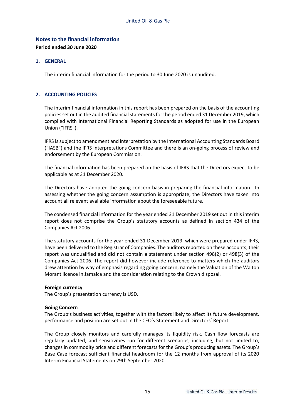# **Notes to the financial information**

**Period ended 30 June 2020**

### **1. GENERAL**

The interim financial information for the period to 30 June 2020 is unaudited.

### **2. ACCOUNTING POLICIES**

The interim financial information in this report has been prepared on the basis of the accounting policies set out in the audited financial statements for the period ended 31 December 2019, which complied with International Financial Reporting Standards as adopted for use in the European Union ("IFRS").

IFRS is subject to amendment and interpretation by the International Accounting Standards Board ("IASB") and the IFRS Interpretations Committee and there is an on-going process of review and endorsement by the European Commission.

The financial information has been prepared on the basis of IFRS that the Directors expect to be applicable as at 31 December 2020.

The Directors have adopted the going concern basis in preparing the financial information. In assessing whether the going concern assumption is appropriate, the Directors have taken into account all relevant available information about the foreseeable future.

The condensed financial information for the year ended 31 December 2019 set out in this interim report does not comprise the Group's statutory accounts as defined in section 434 of the Companies Act 2006.

The statutory accounts for the year ended 31 December 2019, which were prepared under IFRS, have been delivered to the Registrar of Companies. The auditors reported on these accounts; their report was unqualified and did not contain a statement under section 498(2) or 498(3) of the Companies Act 2006. The report did however include reference to matters which the auditors drew attention by way of emphasis regarding going concern, namely the Valuation of the Walton Morant licence in Jamaica and the consideration relating to the Crown disposal.

### **Foreign currency**

The Group's presentation currency is USD.

### **Going Concern**

The Group's business activities, together with the factors likely to affect its future development, performance and position are set out in the CEO's Statement and Directors' Report.

The Group closely monitors and carefully manages its liquidity risk. Cash flow forecasts are regularly updated, and sensitivities run for different scenarios, including, but not limited to, changes in commodity price and different forecasts for the Group's producing assets. The Group's Base Case forecast sufficient financial headroom for the 12 months from approval of its 2020 Interim Financial Statements on 29th September 2020.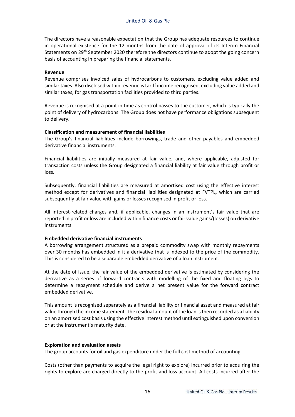The directors have a reasonable expectation that the Group has adequate resources to continue in operational existence for the 12 months from the date of approval of its Interim Financial Statements on 29th September 2020 therefore the directors continue to adopt the going concern basis of accounting in preparing the financial statements.

### **Revenue**

Revenue comprises invoiced sales of hydrocarbons to customers, excluding value added and similar taxes. Also disclosed within revenue is tariff income recognised, excluding value added and similar taxes, for gas transportation facilities provided to third parties.

Revenue is recognised at a point in time as control passes to the customer, which is typically the point of delivery of hydrocarbons. The Group does not have performance obligations subsequent to delivery.

### **Classification and measurement of financial liabilities**

The Group's financial liabilities include borrowings, trade and other payables and embedded derivative financial instruments.

Financial liabilities are initially measured at fair value, and, where applicable, adjusted for transaction costs unless the Group designated a financial liability at fair value through profit or loss.

Subsequently, financial liabilities are measured at amortised cost using the effective interest method except for derivatives and financial liabilities designated at FVTPL, which are carried subsequently at fair value with gains or losses recognised in profit or loss.

All interest-related charges and, if applicable, changes in an instrument's fair value that are reported in profit or loss are included within finance costs or fair value gains/(losses) on derivative instruments.

### **Embedded derivative financial instruments**

A borrowing arrangement structured as a prepaid commodity swap with monthly repayments over 30 months has embedded in it a derivative that is indexed to the price of the commodity. This is considered to be a separable embedded derivative of a loan instrument.

At the date of issue, the fair value of the embedded derivative is estimated by considering the derivative as a series of forward contracts with modelling of the fixed and floating legs to determine a repayment schedule and derive a net present value for the forward contract embedded derivative.

This amount is recognised separately as a financial liability or financial asset and measured at fair value through the income statement. The residual amount of the loan is then recorded as a liability on an amortised cost basis using the effective interest method until extinguished upon conversion or at the instrument's maturity date.

#### **Exploration and evaluation assets**

The group accounts for oil and gas expenditure under the full cost method of accounting.

Costs (other than payments to acquire the legal right to explore) incurred prior to acquiring the rights to explore are charged directly to the profit and loss account. All costs incurred after the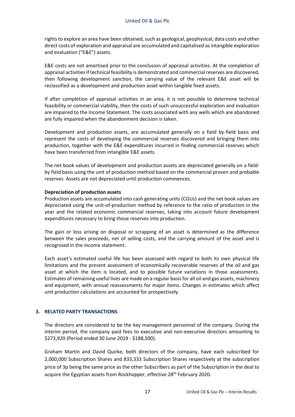rights to explore an area have been obtained, such as geological, geophysical, data costs and other direct costs of exploration and appraisal are accumulated and capitalised as intangible exploration and evaluation ("E&E") assets.

E&E costs are not amortised prior to the conclusion of appraisal activities. At the completion of appraisal activities if technical feasibility is demonstrated and commercial reserves are discovered, then following development sanction, the carrying value of the relevant E&E asset will be reclassified as a development and production asset within tangible fixed assets.

If after completion of appraisal activities in an area, it is not possible to determine technical feasibility or commercial viability, then the costs of such unsuccessful exploration and evaluation are impaired to the Income Statement. The costs associated with any wells which are abandoned are fully impaired when the abandonment decision is taken.

Development and production assets, are accumulated generally on a field by-field basis and represent the costs of developing the commercial reserves discovered and bringing them into production, together with the E&E expenditures incurred in finding commercial reserves which have been transferred from intangible E&E assets.

The net book values of development and production assets are depreciated generally on a fieldby field basis using the unit of production method based on the commercial proven and probable reserves. Assets are not depreciated until production commences.

### **Depreciation of production assets**

Production assets are accumulated into cash generating units (CGUs) and the net book values are depreciated using the unit-of-production method by reference to the ratio of production in the year and the related economic commercial reserves, taking into account future development expenditures necessary to bring those reserves into production.

The gain or loss arising on disposal or scrapping of an asset is determined as the difference between the sales proceeds, net of selling costs, and the carrying amount of the asset and is recognised in the income statement.

Each asset's estimated useful life has been assessed with regard to both its own physical life limitations and the present assessment of economically recoverable reserves of the oil and gas asset at which the item is located, and to possible future variations in those assessments. Estimates of remaining useful lives are made on a regular basis for all oil and gas assets, machinery and equipment, with annual reassessments for major items. Changes in estimates which affect unit production calculations are accounted for prospectively.

### **3. RELATED PARTY TRANSACTIONS**

The directors are considered to be the key management personnel of the company. During the interim period, the company paid fees to executive and non-executive directors amounting to \$273,920 (Period ended 30 June 2019 - \$188,500).

Graham Martin and David Quirke, both directors of the company, have each subscribed for 2,000,000 Subscription Shares and 833,333 Subscription Shares respectively at the subscription price of 3p being the same price as the other Subscribers as part of the Subscription in the deal to acquire the Egyptian assets from Rockhopper, effective 28<sup>th</sup> February 2020.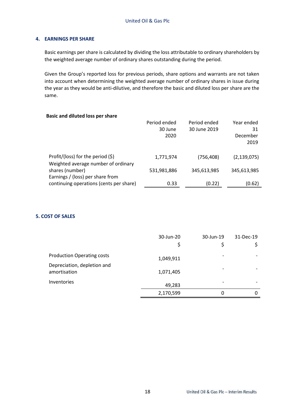### **4. EARNINGS PER SHARE**

Basic earnings per share is calculated by dividing the loss attributable to ordinary shareholders by the weighted average number of ordinary shares outstanding during the period.

Given the Group's reported loss for previous periods, share options and warrants are not taken into account when determining the weighted average number of ordinary shares in issue during the year as they would be anti-dilutive, and therefore the basic and diluted loss per share are the same.

| <b>Basic and diluted loss per share</b>                                     |                                 |                              |                                      |
|-----------------------------------------------------------------------------|---------------------------------|------------------------------|--------------------------------------|
|                                                                             | Period ended<br>30 June<br>2020 | Period ended<br>30 June 2019 | Year ended<br>31<br>December<br>2019 |
| Profit/(loss) for the period $(\xi)$<br>Weighted average number of ordinary | 1,771,974                       | (756, 408)                   | (2, 139, 075)                        |
| shares (number)<br>Earnings / (loss) per share from                         | 531,981,886                     | 345,613,985                  | 345,613,985                          |
| continuing operations (cents per share)                                     | 0.33                            | (0.22)                       | (0.62)                               |

### **5. COST OF SALES**

|                                   | 30-Jun-20<br>\$ | 30-Jun-19<br>\$ | 31-Dec-19 |
|-----------------------------------|-----------------|-----------------|-----------|
| <b>Production Operating costs</b> | 1,049,911       |                 |           |
| Depreciation, depletion and       |                 |                 |           |
| amortisation                      | 1,071,405       |                 |           |
| Inventories                       | 49,283          |                 |           |
|                                   | 2,170,599       | 0               | 0         |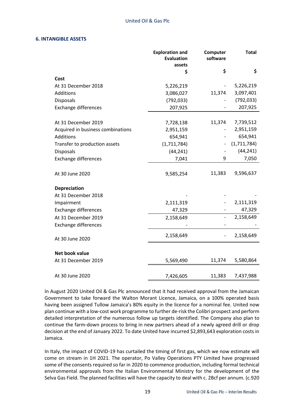### **6. INTANGIBLE ASSETS**

|                                   | <b>Exploration and</b><br><b>Evaluation</b><br>assets | Computer<br>software | <b>Total</b> |
|-----------------------------------|-------------------------------------------------------|----------------------|--------------|
|                                   | \$                                                    | \$                   | \$           |
| Cost                              |                                                       |                      |              |
| At 31 December 2018               | 5,226,219                                             |                      | 5,226,219    |
| Additions                         | 3,086,027                                             | 11,374               | 3,097,401    |
| <b>Disposals</b>                  | (792, 033)                                            |                      | (792, 033)   |
| <b>Exchange differences</b>       | 207,925                                               |                      | 207,925      |
| At 31 December 2019               | 7,728,138                                             | 11,374               | 7,739,512    |
| Acquired in business combinations | 2,951,159                                             |                      | 2,951,159    |
| Additions                         | 654,941                                               |                      | 654,941      |
| Transfer to production assets     | (1,711,784)                                           |                      | (1,711,784)  |
| <b>Disposals</b>                  | (44, 241)                                             |                      | (44, 241)    |
| <b>Exchange differences</b>       | 7,041                                                 | 9                    | 7,050        |
| At 30 June 2020                   | 9,585,254                                             | 11,383               | 9,596,637    |
| Depreciation                      |                                                       |                      |              |
| At 31 December 2018               |                                                       |                      |              |
| Impairment                        | 2,111,319                                             |                      | 2,111,319    |
| Exchange differences              | 47,329                                                |                      | 47,329       |
| At 31 December 2019               | 2,158,649                                             |                      | 2,158,649    |
| <b>Exchange differences</b>       |                                                       |                      |              |
| At 30 June 2020                   | 2,158,649                                             |                      | 2,158,649    |
| Net book value                    |                                                       |                      |              |
| At 31 December 2019               | 5,569,490                                             | 11,374               | 5,580,864    |
| At 30 June 2020                   | 7,426,605                                             | 11,383               | 7,437,988    |

In August 2020 United Oil & Gas Plc announced that it had received approval from the Jamaican Government to take forward the Walton Morant Licence, Jamaica, on a 100% operated basis having been assigned Tullow Jamaica's 80% equity in the licence for a nominal fee. United now plan continue with a low-cost work programme to further de-risk the Colibri prospect and perform detailed interpretation of the numerous follow up targets identified. The Company also plan to continue the farm-down process to bring in new partners ahead of a newly agreed drill or drop decision at the end of January 2022. To date United have incurred \$2,893,643 exploration costs in Jamaica.

In Italy, the impact of COVID-19 has curtailed the timing of first gas, which we now estimate will come on stream in 1H 2021. The operator, Po Valley Operations PTY Limited have progressed some of the consents required so far in 2020 to commence production, including formal technical environmental approvals from the Italian Environmental Ministry for the development of the Selva Gas Field. The planned facilities will have the capacity to deal with c. 2Bcf per annum. (c.920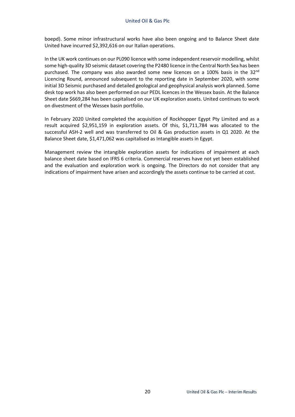boepd). Some minor infrastructural works have also been ongoing and to Balance Sheet date United have incurred \$2,392,616 on our Italian operations.

In the UK work continues on our PL090 licence with some independent reservoir modelling, whilst some high-quality 3D seismic dataset covering the P2480 licence in the Central North Sea has been purchased. The company was also awarded some new licences on a 100% basis in the  $32<sup>nd</sup>$ Licencing Round, announced subsequent to the reporting date in September 2020, with some initial 3D Seismic purchased and detailed geological and geophysical analysis work planned. Some desk top work has also been performed on our PEDL licences in the Wessex basin. At the Balance Sheet date \$669,284 has been capitalised on our UK exploration assets. United continues to work on divestment of the Wessex basin portfolio.

In February 2020 United completed the acquisition of Rockhopper Egypt Pty Limited and as a result acquired \$2,951,159 in exploration assets. Of this, \$1,711,784 was allocated to the successful ASH-2 well and was transferred to Oil & Gas production assets in Q1 2020. At the Balance Sheet date, \$1,471,062 was capitalised as Intangible assets in Egypt.

Management review the intangible exploration assets for indications of impairment at each balance sheet date based on IFRS 6 criteria. Commercial reserves have not yet been established and the evaluation and exploration work is ongoing. The Directors do not consider that any indications of impairment have arisen and accordingly the assets continue to be carried at cost.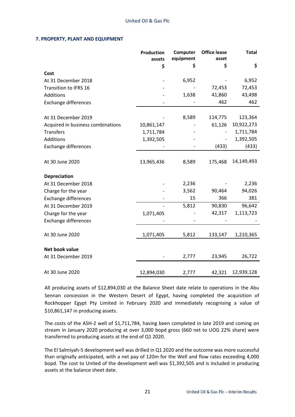### **7. PROPERTY, PLANT AND EQUIPMENT**

|                                   | Production<br>assets | Computer<br>equipment | <b>Office lease</b><br>asset | <b>Total</b> |
|-----------------------------------|----------------------|-----------------------|------------------------------|--------------|
|                                   | \$                   | \$                    | \$                           | \$           |
| Cost                              |                      |                       |                              |              |
| At 31 December 2018               |                      | 6,952                 |                              | 6,952        |
| Transition to IFRS 16             |                      |                       | 72,453                       | 72,453       |
| Additions                         |                      | 1,638                 | 41,860                       | 43,498       |
| Exchange differences              |                      |                       | 462                          | 462          |
| At 31 December 2019               |                      | 8,589                 | 114,775                      | 123,364      |
| Acquired in business combinations | 10,861,147           |                       | 61,126                       | 10,922,273   |
| <b>Transfers</b>                  | 1,711,784            |                       |                              | 1,711,784    |
| Additions                         | 1,392,505            |                       |                              | 1,392,505    |
| <b>Exchange differences</b>       |                      |                       | (433)                        | (433)        |
| At 30 June 2020                   | 13,965,436           | 8,589                 | 175,468                      | 14,149,493   |
| <b>Depreciation</b>               |                      |                       |                              |              |
| At 31 December 2018               |                      | 2,236                 |                              | 2,236        |
| Charge for the year               |                      | 3,562                 | 90,464                       | 94,026       |
| <b>Exchange differences</b>       |                      | 15                    | 366                          | 381          |
| At 31 December 2019               |                      | 5,812                 | 90,830                       | 96,642       |
| Charge for the year               | 1,071,405            |                       | 42,317                       | 1,113,723    |
| <b>Exchange differences</b>       |                      |                       |                              |              |
| At 30 June 2020                   | 1,071,405            | 5,812                 | 133,147                      | 1,210,365    |
| Net book value                    |                      |                       |                              |              |
| At 31 December 2019               |                      | 2,777                 | 23,945                       | 26,722       |
| At 30 June 2020                   | 12,894,030           | 2,777                 | 42,321                       | 12,939,128   |

All producing assets of \$12,894,030 at the Balance Sheet date relate to operations in the Abu Sennan concession in the Western Desert of Egypt, having completed the acquisition of Rockhopper Egypt Pty Limited in February 2020 and immediately recognising a value of \$10,861,147 in producing assets.

The costs of the ASH-2 well of \$1,711,784, having been completed in late 2019 and coming on stream in January 2020 producing at over 3,000 bopd gross (660 net to UOG 22% share) were transferred to producing assets at the end of Q1 2020.

The El Salmiyah-5 development well was drilled in Q1 2020 and the outcome was more successful than originally anticipated, with a net pay of 120m for the Well and flow rates exceeding 4,000 bopd. The cost to United of the development well was \$1,392,505 and is included in producing assets at the balance sheet date.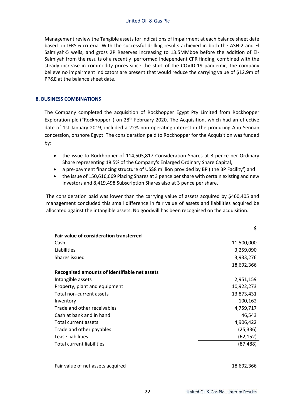Management review the Tangible assets for indications of impairment at each balance sheet date based on IFRS 6 criteria. With the successful drilling results achieved in both the ASH-2 and El Salmiyah-5 wells, and gross 2P Reserves increasing to 13.5MMboe before the addition of El-Salmiyah from the results of a recently performed Independent CPR finding, combined with the steady increase in commodity prices since the start of the COVID-19 pandemic, the company believe no impairment indicators are present that would reduce the carrying value of \$12.9m of PP&E at the balance sheet date.

### **8. BUSINESS COMBINATIONS**

The Company completed the acquisition of Rockhopper Egypt Pty Limited from Rockhopper Exploration plc ("Rockhopper") on 28<sup>th</sup> February 2020. The Acquisition, which had an effective date of 1st January 2019, included a 22% non-operating interest in the producing Abu Sennan concession, onshore Egypt. The consideration paid to Rockhopper for the Acquisition was funded by:

- the issue to Rockhopper of 114,503,817 Consideration Shares at 3 pence per Ordinary Share representing 18.5% of the Company's Enlarged Ordinary Share Capital,
- a pre-payment financing structure of US\$8 million provided by BP ('the BP Facility') and
- the issue of 150,616,669 Placing Shares at 3 pence per share with certain existing and new investors and 8,419,498 Subscription Shares also at 3 pence per share.

The consideration paid was lower than the carrying value of assets acquired by \$460,405 and management concluded this small difference in fair value of assets and liabilities acquired be allocated against the intangible assets. No goodwill has been recognised on the acquisition.

|                                                | ⋗          |
|------------------------------------------------|------------|
| <b>Fair value of consideration transferred</b> |            |
| Cash                                           | 11,500,000 |
| Liabilities                                    | 3,259,090  |
| Shares issued                                  | 3,933,276  |
|                                                | 18,692,366 |
| Recognised amounts of identifiable net assets  |            |
| Intangible assets                              | 2,951,159  |
| Property, plant and equipment                  | 10,922,273 |
| Total non-current assets                       | 13,873,431 |
| Inventory                                      | 100,162    |
| Trade and other receivables                    | 4,759,717  |
| Cash at bank and in hand                       | 46,543     |
| Total current assets                           | 4,906,422  |
| Trade and other payables                       | (25, 336)  |
| Lease liabilities                              | (62,152)   |
| Total current liabilities                      | (87,488)   |
|                                                |            |

Fair value of net assets acquired 18,692,366

**\$**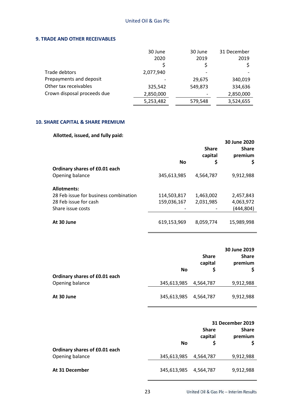### **9. TRADE AND OTHER RECEIVABLES**

|                             | 30 June   | 30 June | 31 December |
|-----------------------------|-----------|---------|-------------|
|                             | 2020      | 2019    | 2019        |
|                             |           |         |             |
| Trade debtors               | 2,077,940 |         |             |
| Prepayments and deposit     |           | 29,675  | 340,019     |
| Other tax receivables       | 325,542   | 549,873 | 334,636     |
| Crown disposal proceeds due | 2,850,000 |         | 2,850,000   |
|                             | 5,253,482 | 579,548 | 3,524,655   |

# **10. SHARE CAPITAL & SHARE PREMIUM**

# **Allotted, issued, and fully paid:**

|                                       | <b>No</b>   | <b>Share</b><br>capital<br>\$ | 30 June 2020<br><b>Share</b><br>premium<br>\$ |
|---------------------------------------|-------------|-------------------------------|-----------------------------------------------|
| Ordinary shares of £0.01 each         |             |                               |                                               |
| Opening balance                       | 345,613,985 | 4,564,787                     | 9,912,988                                     |
| <b>Allotments:</b>                    |             |                               |                                               |
| 28 Feb issue for business combination | 114,503,817 | 1,463,002                     | 2,457,843                                     |
| 28 Feb issue for cash                 | 159,036,167 | 2,031,985                     | 4,063,972                                     |
| Share issue costs                     |             |                               | (444, 804)                                    |
| At 30 June                            | 619,153,969 | 8,059,774                     | 15,989,998                                    |

|                               | No          | <b>Share</b><br>capital<br>S | 30 June 2019<br><b>Share</b><br>premium |
|-------------------------------|-------------|------------------------------|-----------------------------------------|
| Ordinary shares of £0.01 each |             |                              |                                         |
| Opening balance               | 345,613,985 | 4,564,787                    | 9,912,988                               |
| At 30 June                    | 345,613,985 | 4,564,787                    | 9,912,988                               |

|                               | <b>Share</b> |           | <b>31 December 2019</b><br><b>Share</b> |
|-------------------------------|--------------|-----------|-----------------------------------------|
|                               | No           | capital   | premium                                 |
| Ordinary shares of £0.01 each |              |           |                                         |
| Opening balance               | 345,613,985  | 4,564,787 | 9,912,988                               |
| At 31 December                | 345,613,985  | 4.564.787 | 9,912,988                               |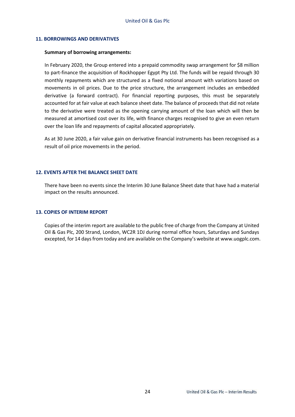### **11. BORROWINGS AND DERIVATIVES**

#### **Summary of borrowing arrangements:**

In February 2020, the Group entered into a prepaid commodity swap arrangement for \$8 million to part-finance the acquisition of Rockhopper Egypt Pty Ltd. The funds will be repaid through 30 monthly repayments which are structured as a fixed notional amount with variations based on movements in oil prices. Due to the price structure, the arrangement includes an embedded derivative (a forward contract). For financial reporting purposes, this must be separately accounted for at fair value at each balance sheet date. The balance of proceeds that did not relate to the derivative were treated as the opening carrying amount of the loan which will then be measured at amortised cost over its life, with finance charges recognised to give an even return over the loan life and repayments of capital allocated appropriately.

As at 30 June 2020, a fair value gain on derivative financial instruments has been recognised as a result of oil price movements in the period.

### **12. EVENTS AFTER THE BALANCE SHEET DATE**

There have been no events since the Interim 30 June Balance Sheet date that have had a material impact on the results announced.

### **13. COPIES OF INTERIM REPORT**

Copies of the interim report are available to the public free of charge from the Company at United Oil & Gas Plc, 200 Strand, London, WC2R 1DJ during normal office hours, Saturdays and Sundays excepted, for 14 days from today and are available on the Company's website at www.uogplc.com.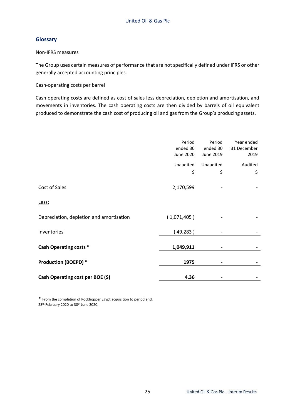# **Glossary**

Non-IFRS measures

The Group uses certain measures of performance that are not specifically defined under IFRS or other generally accepted accounting principles.

Cash-operating costs per barrel

Cash operating costs are defined as cost of sales less depreciation, depletion and amortisation, and movements in inventories. The cash operating costs are then divided by barrels of oil equivalent produced to demonstrate the cash cost of producing oil and gas from the Group's producing assets.

|                                          | Period<br>ended 30<br>June 2020 | Period<br>ended 30<br>June 2019 | Year ended<br>31 December<br>2019 |
|------------------------------------------|---------------------------------|---------------------------------|-----------------------------------|
|                                          | Unaudited<br>\$                 | Unaudited<br>\$                 | Audited<br>\$                     |
| Cost of Sales                            | 2,170,599                       |                                 |                                   |
| Less:                                    |                                 |                                 |                                   |
| Depreciation, depletion and amortisation | (1,071,405)                     |                                 |                                   |
| Inventories                              | (49, 283)                       |                                 |                                   |
| <b>Cash Operating costs *</b>            | 1,049,911                       |                                 |                                   |
| <b>Production (BOEPD) *</b>              | 1975                            |                                 |                                   |
| Cash Operating cost per BOE (\$)         | 4.36                            |                                 |                                   |

\* From the completion of Rockhopper Egypt acquisition to period end, 28<sup>th</sup> February 2020 to 30<sup>th</sup> June 2020.